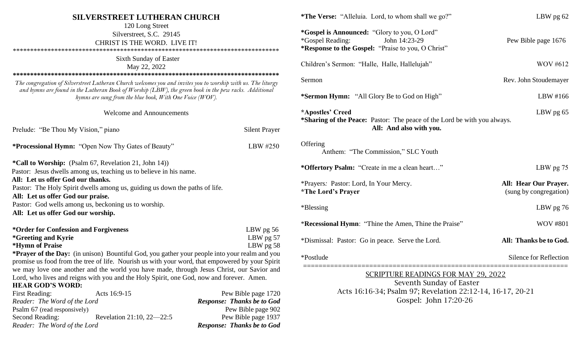| <b>SILVERSTREET LUTHERAN CHURCH</b><br>120 Long Street<br>Silverstreet, S.C. 29145<br>CHRIST IS THE WORD. LIVE IT!<br>Sixth Sunday of Easter<br>May 22, 2022                                                                                                                        |                                   | <b>*The Verse:</b> "Alleluia. Lord, to whom shall we go?"                                                                                                              | LBW pg 62                                       |  |
|-------------------------------------------------------------------------------------------------------------------------------------------------------------------------------------------------------------------------------------------------------------------------------------|-----------------------------------|------------------------------------------------------------------------------------------------------------------------------------------------------------------------|-------------------------------------------------|--|
|                                                                                                                                                                                                                                                                                     |                                   | *Gospel is Announced: "Glory to you, O Lord"<br><i>*</i> Gospel Reading:<br>John 14:23-29<br>Pew Bible page 1676<br>*Response to the Gospel: "Praise to you, O Christ" |                                                 |  |
|                                                                                                                                                                                                                                                                                     |                                   | Children's Sermon: "Halle, Halle, Hallelujah"                                                                                                                          | <b>WOV #612</b>                                 |  |
| The congregation of Silverstreet Lutheran Church welcomes you and invites you to worship with us. The liturgy<br>and hymns are found in the Lutheran Book of Worship (LBW), the green book in the pew racks. Additional<br>hymns are sung from the blue book, With One Voice (WOV). |                                   | Sermon                                                                                                                                                                 | Rev. John Stoudemayer                           |  |
|                                                                                                                                                                                                                                                                                     |                                   | *Sermon Hymn: "All Glory Be to God on High"                                                                                                                            | LBW #166                                        |  |
| <b>Welcome and Announcements</b>                                                                                                                                                                                                                                                    |                                   | *Apostles' Creed                                                                                                                                                       | LBW pg 65                                       |  |
| Prelude: "Be Thou My Vision," piano                                                                                                                                                                                                                                                 | <b>Silent Prayer</b>              | *Sharing of the Peace: Pastor: The peace of the Lord be with you always.<br>All: And also with you.                                                                    |                                                 |  |
| <b>*Processional Hymn: "Open Now Thy Gates of Beauty"</b>                                                                                                                                                                                                                           | LBW #250                          | Offering<br>Anthem: "The Commission," SLC Youth                                                                                                                        |                                                 |  |
| *Call to Worship: (Psalm 67, Revelation 21, John 14))<br>Pastor: Jesus dwells among us, teaching us to believe in his name.                                                                                                                                                         |                                   | *Offertory Psalm: "Create in me a clean heart"                                                                                                                         | LBW pg 75                                       |  |
| All: Let us offer God our thanks.<br>Pastor: The Holy Spirit dwells among us, guiding us down the paths of life.<br>All: Let us offer God our praise.                                                                                                                               |                                   | *Prayers: Pastor: Lord, In Your Mercy.<br><i><b>*The Lord's Prayer</b></i>                                                                                             | All: Hear Our Prayer.<br>(sung by congregation) |  |
| Pastor: God wells among us, beckoning us to worship.<br>All: Let us offer God our worship.                                                                                                                                                                                          |                                   | *Blessing                                                                                                                                                              | LBW pg 76                                       |  |
| *Order for Confession and Forgiveness                                                                                                                                                                                                                                               | LBW pg 56                         | *Recessional Hymn: "Thine the Amen, Thine the Praise"                                                                                                                  | <b>WOV #801</b>                                 |  |
| <i>*</i> Greeting and Kyrie<br>*Hymn of Praise                                                                                                                                                                                                                                      | LBW pg 57<br>LBW $pg\ 58$         | *Dismissal: Pastor: Go in peace. Serve the Lord.                                                                                                                       | All: Thanks be to God.                          |  |
| *Prayer of the Day: (in unison) Bountiful God, you gather your people into your realm and you<br>promise us food from the tree of life. Nourish us with your word, that empowered by your Spirit                                                                                    |                                   | *Postlude                                                                                                                                                              | <b>Silence for Reflection</b>                   |  |
| we may love one another and the world you have made, through Jesus Christ, our Savior and<br>Lord, who lives and reigns with you and the Holy Spirit, one God, now and forever. Amen.                                                                                               |                                   | <b>SCRIPTURE READINGS FOR MAY 29, 2022</b>                                                                                                                             |                                                 |  |
| <b>HEAR GOD'S WORD:</b>                                                                                                                                                                                                                                                             |                                   | Seventh Sunday of Easter                                                                                                                                               |                                                 |  |
| <b>First Reading:</b><br>Acts 16:9-15                                                                                                                                                                                                                                               | Pew Bible page 1720               | Acts 16:16-34; Psalm 97; Revelation 22:12-14, 16-17, 20-21                                                                                                             |                                                 |  |
| Reader: The Word of the Lord                                                                                                                                                                                                                                                        | <b>Response: Thanks be to God</b> | Gospel: John 17:20-26                                                                                                                                                  |                                                 |  |
| Psalm 67 (read responsively)                                                                                                                                                                                                                                                        | Pew Bible page 902                |                                                                                                                                                                        |                                                 |  |

Second Reading: Revelation 21:10, 22—22:5 Pew Bible page 1937 *Reader: The Word of the Lord Response: Thanks be to God*